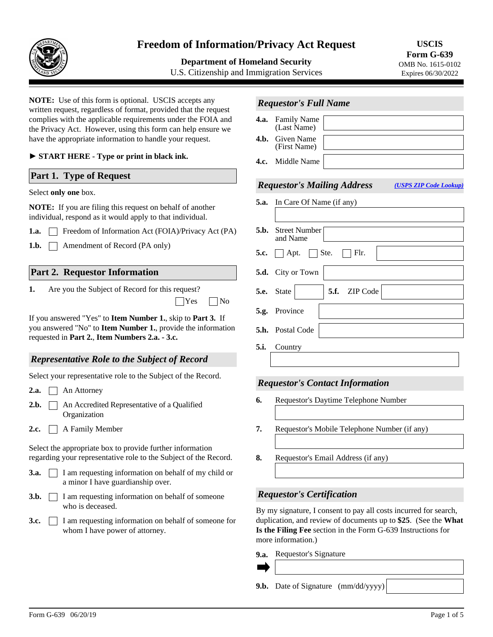

# **Freedom of Information/Privacy Act Request**

**Department of Homeland Security** 

U.S. Citizenship and Immigration Services

**USCIS Form G-639**  OMB No. 1615-0102 Expires 06/30/2022

**NOTE:** Use of this form is optional. USCIS accepts any written request, regardless of format, provided that the request complies with the applicable requirements under the FOIA and the Privacy Act. However, using this form can help ensure we have the appropriate information to handle your request. **4.b.** 

► **START HERE - Type or print in black ink.**

## **Part 1. Type of Request**

#### Select **only one** box.

**NOTE:** If you are filing this request on behalf of another individual, respond as it would apply to that individual.

- **1.a.** Freedom of Information Act (FOIA)/Privacy Act (PA)
- **1.b.** | | Amendment of Record (PA only)

## **Part 2. Requestor Information**

Are you the Subject of Record for this request? **1.**  $\Box$ Yes  $\Box$ No

If you answered "Yes" to **Item Number 1.**, skip to **Part 3.** If you answered "No" to **Item Number 1.**, provide the information requested in **Part 2.**, **Item Numbers 2.a. - 3.c.**

## *Representative Role to the Subject of Record*

Select your representative role to the Subject of the Record.

- **2.a.** An Attorney
- | | An Accredited Representative of a Qualified Organization **2.b.**
- 2.c. **A** Family Member

Select the appropriate box to provide further information regarding your representative role to the Subject of the Record.

- **3.a.**  $\Box$  I am requesting information on behalf of my child or a minor I have guardianship over.
- $\Box$  I am requesting information on behalf of someone who is deceased. **3.b.**
- **3.c. I** am requesting information on behalf of someone for whom I have power of attorney.

| <b>Requestor's Full Name</b> |                                        |  |  |  |  |  |  |
|------------------------------|----------------------------------------|--|--|--|--|--|--|
|                              | <b>4.a.</b> Family Name<br>(Last Name) |  |  |  |  |  |  |
|                              | <b>4.b.</b> Given Name<br>(First Name) |  |  |  |  |  |  |
| <b>40</b>                    | Middle Name                            |  |  |  |  |  |  |

# *Requestor's Mailing Address*

*[\(USPS ZIP Code Lookup\)](https://tools.usps.com/go/ZipLookupAction_input)*

| <b>5.a.</b> In Care Of Name (if any)                  |
|-------------------------------------------------------|
|                                                       |
| <b>5.b.</b> Street Number<br>and Name                 |
| $\vert \ \vert$ Flr.<br><b>5.c.</b>     Apt.     Ste. |
| 5.d. City or Town                                     |
| $\blacktriangleright$ 5.f. ZIP Code<br>5.e. State     |
| 5.g. Province                                         |
| 5.h. Postal Code                                      |
| 5.i. Country                                          |
|                                                       |

#### *Requestor's Contact Information*

- **6.** Requestor's Daytime Telephone Number
- **7.** Requestor's Mobile Telephone Number (if any)
- **8.** Requestor's Email Address (if any)

## *Requestor's Certification*

By my signature, I consent to pay all costs incurred for search, duplication, and review of documents up to **\$25**. (See the **What Is the Filing Fee** section in the Form G-639 Instructions for more information.)

Requestor's Signature **9.a.**

**9.b.** Date of Signature (mm/dd/yyyy)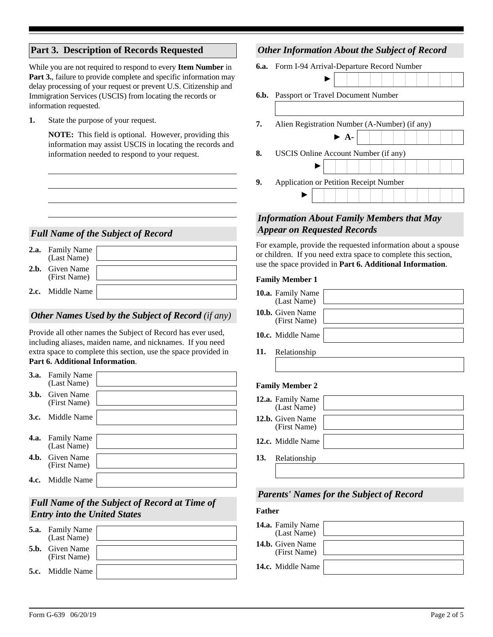# **Part 3. Description of Records Requested**

While you are not required to respond to every **Item Number** in **Part 3.**, failure to provide complete and specific information may delay processing of your request or prevent U.S. Citizenship and Immigration Services (USCIS) from locating the records or information requested.

**1.** State the purpose of your request.

**NOTE:** This field is optional. However, providing this information may assist USCIS in locating the records and information needed to respond to your request.

# *Full Name of the Subject of Record*

| 2.a. | <b>Family Name</b><br>(Last Name) |  |
|------|-----------------------------------|--|
|      | 2.b. Given Name<br>(First Name)   |  |
|      | 2.c. Middle Name                  |  |

## *Other Names Used by the Subject of Record (if any)*

Provide all other names the Subject of Record has ever used, including aliases, maiden name, and nicknames. If you need extra space to complete this section, use the space provided in **Part 6. Additional Information**.

| <b>3.a.</b> Family Name<br>(Last Name) |  |
|----------------------------------------|--|
| <b>3.b.</b> Given Name<br>(First Name) |  |
|                                        |  |
| <b>3.c.</b> Middle Name                |  |
|                                        |  |
|                                        |  |
| <b>4.a.</b> Family Name                |  |
|                                        |  |
| (Last Name)                            |  |
|                                        |  |
| <b>4.b.</b> Given Name                 |  |
| (First Name)                           |  |
|                                        |  |
| <b>4.c.</b> Middle Name                |  |

# *Full Name of the Subject of Record at Time of Entry into the United States*

| <b>5.a.</b> | <b>Family Name</b><br>(Last Name)      |  |
|-------------|----------------------------------------|--|
|             | <b>5.b.</b> Given Name<br>(First Name) |  |
|             | <b>5.c.</b> Middle Name                |  |

# *Other Information About the Subject of Record*

|    | 6.a. Form I-94 Arrival-Departure Record Number |  |                          |  |  |  |  |  |  |  |  |
|----|------------------------------------------------|--|--------------------------|--|--|--|--|--|--|--|--|
|    |                                                |  |                          |  |  |  |  |  |  |  |  |
|    | <b>6.b.</b> Passport or Travel Document Number |  |                          |  |  |  |  |  |  |  |  |
|    |                                                |  |                          |  |  |  |  |  |  |  |  |
| 7. | Alien Registration Number (A-Number) (if any)  |  |                          |  |  |  |  |  |  |  |  |
|    |                                                |  | $\blacktriangleright$ A- |  |  |  |  |  |  |  |  |
| 8. | USCIS Online Account Number (if any)           |  |                          |  |  |  |  |  |  |  |  |
|    |                                                |  |                          |  |  |  |  |  |  |  |  |
| 9. | Application or Petition Receipt Number         |  |                          |  |  |  |  |  |  |  |  |
|    |                                                |  |                          |  |  |  |  |  |  |  |  |

# *Information About Family Members that May Appear on Requested Records*

For example, provide the requested information about a spouse or children. If you need extra space to complete this section, use the space provided in **Part 6. Additional Information**.

#### **Family Member 1**

|     | <b>10.a.</b> Family Name<br>(Last Name) |  |
|-----|-----------------------------------------|--|
|     | <b>10.b.</b> Given Name<br>(First Name) |  |
|     | <b>10.c.</b> Middle Name                |  |
| 11. | Relationship                            |  |

#### **Family Member 2**

| 12.a. Family Name<br>(Last Name)        |  |
|-----------------------------------------|--|
| <b>12.b.</b> Given Name<br>(First Name) |  |
| 12.c. Middle Name                       |  |
| 13. Relationship                        |  |

## *Parents' Names for the Subject of Record*

## **Father**

| 14.a. Family Name<br>(Last Name)        |  |
|-----------------------------------------|--|
| <b>14.b.</b> Given Name<br>(First Name) |  |
| 14.c. Middle Name                       |  |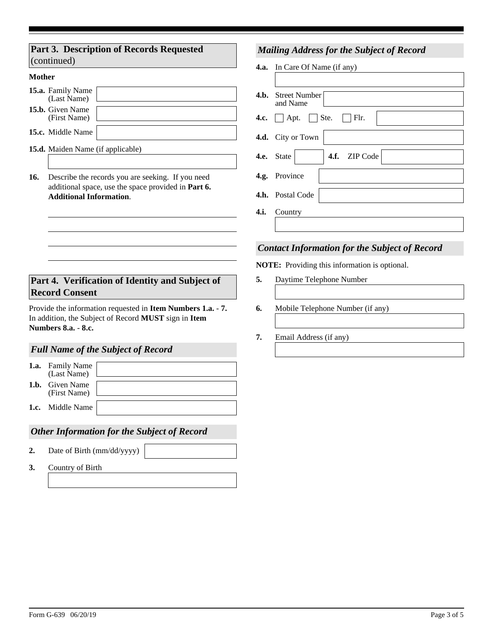## **Part 3. Description of Records Requested**  (continued)

#### **Mother**

| 15.a. Family Name<br>(Last Name)        |  |
|-----------------------------------------|--|
| <b>15.b.</b> Given Name<br>(First Name) |  |
| <b>15.c.</b> Middle Name                |  |

- **15.d.** Maiden Name (if applicable)
- **16.** Describe the records you are seeking. If you need additional space, use the space provided in **Part 6. Additional Information**.

## **Part 4. Verification of Identity and Subject of Record Consent**

Provide the information requested in **Item Numbers 1.a.** - **7.**  In addition, the Subject of Record **MUST** sign in **Item Numbers 8.a.** - **8.c.**

## *Full Name of the Subject of Record*

**1.b.**  Given Name **1.a.** Family Name (Last Name) (First Name)

**1.c.** Middle Name

## *Other Information for the Subject of Record*

- **2.** Date of Birth (mm/dd/yyyy)
- **3.** Country of Birth

## *Mailing Address for the Subject of Record*

**4.a.** In Care Of Name (if any)

| <b>4.b.</b> Street Number<br>and Name           |
|-------------------------------------------------|
| <b>4.c.</b> $\Box$ Apt. $\Box$ Ste. $\Box$ Flr. |
| 4.d. City or Town                               |
| 4.f. ZIP Code<br>$\  \cdot \ $<br>4.e. State    |
| 4.g. Province                                   |
| 4.h. Postal Code                                |
| 4.i. Country                                    |
|                                                 |

## *Contact Information for the Subject of Record*

**NOTE:** Providing this information is optional.

- **5.** Daytime Telephone Number
- **6.** Mobile Telephone Number (if any)
- **7.** Email Address (if any)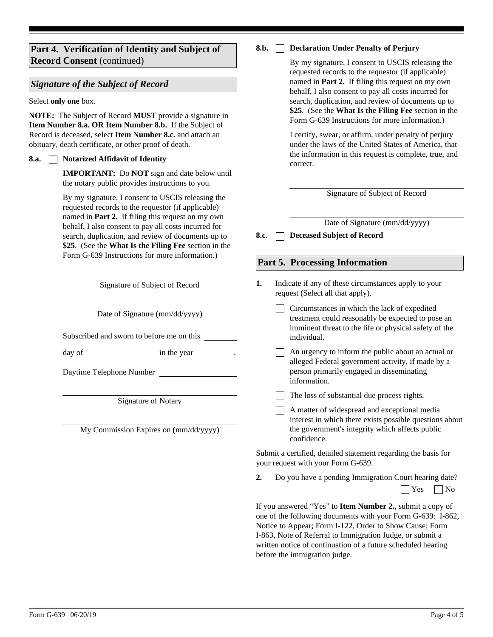## **Part 4. Verification of Identity and Subject of Record Consent** (continued)

#### *Signature of the Subject of Record*

Select **only one** box.

**NOTE:** The Subject of Record **MUST** provide a signature in **Item Number 8.a. OR Item Number 8.b.** If the Subject of Record is deceased, select **Item Number 8.c.** and attach an obituary, death certificate, or other proof of death.

#### **Notarized Affidavit of Identity 8.a.**

**IMPORTANT:** Do **NOT** sign and date below until the notary public provides instructions to you.

By my signature, I consent to USCIS releasing the requested records to the requestor (if applicable) named in **Part 2.** If filing this request on my own behalf, I also consent to pay all costs incurred for search, duplication, and review of documents up to **\$25**. (See the **What Is the Filing Fee** section in the Form G-639 Instructions for more information.)

Signature of Subject of Record

Date of Signature (mm/dd/yyyy)

Subscribed and sworn to before me on this

day of in the year .

Daytime Telephone Number

Signature of Notary

My Commission Expires on (mm/dd/yyyy)

#### **Declaration Under Penalty of Perjury 8.b.**

By my signature, I consent to USCIS releasing the requested records to the requestor (if applicable) named in **Part 2.** If filing this request on my own behalf, I also consent to pay all costs incurred for search, duplication, and review of documents up to **\$25**. (See the **What Is the Filing Fee** section in the Form G-639 Instructions for more information.)

I certify, swear, or affirm, under penalty of perjury under the laws of the United States of America, that the information in this request is complete, true, and correct.

Signature of Subject of Record

Date of Signature (mm/dd/yyyy)

**8.c. Deceased Subject of Record**

#### **Part 5. Processing Information**

- Indicate if any of these circumstances apply to your request (Select all that apply). **1.**
	- Circumstances in which the lack of expedited treatment could reasonably be expected to pose an imminent threat to the life or physical safety of the individual.
	- An urgency to inform the public about an actual or alleged Federal government activity, if made by a person primarily engaged in disseminating information.

 $\Box$  The loss of substantial due process rights.

A matter of widespread and exceptional media interest in which there exists possible questions about the government's integrity which affects public confidence.

Submit a certified, detailed statement regarding the basis for your request with your Form G-639.

**2.** Do you have a pending Immigration Court hearing date?  $\Box$  Yes  $\Box$  No

If you answered "Yes" to **Item Number 2.**, submit a copy of one of the following documents with your Form G-639: I-862, Notice to Appear; Form I-122, Order to Show Cause; Form I-863, Note of Referral to Immigration Judge, or submit a written notice of continuation of a future scheduled hearing before the immigration judge.